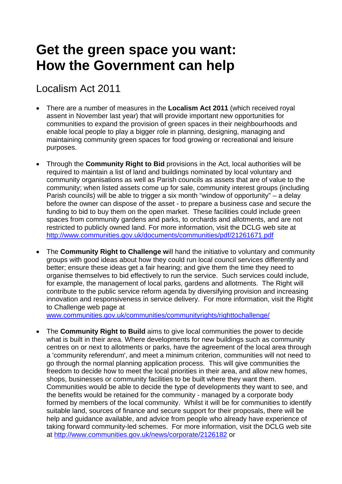## **Get the green space you want: How the Government can help**

## Localism Act 2011

- There are a number of measures in the **Localism Act 2011** (which received royal assent in November last year) that will provide important new opportunities for communities to expand the provision of green spaces in their neighbourhoods and enable local people to play a bigger role in planning, designing, managing and maintaining community green spaces for food growing or recreational and leisure purposes.
- Through the **Community Right to Bid** provisions in the Act, local authorities will be required to maintain a list of land and buildings nominated by local voluntary and community organisations as well as Parish councils as assets that are of value to the community; when listed assets come up for sale, community interest groups (including Parish councils) will be able to trigger a six month "window of opportunity" – a delay before the owner can dispose of the asset - to prepare a business case and secure the funding to bid to buy them on the open market. These facilities could include green spaces from community gardens and parks, to orchards and allotments, and are not restricted to publicly owned land. For more information, visit the DCLG web site at <http://www.communities.gov.uk/documents/communities/pdf/21261671.pdf>
- The **Community Right to Challenge w**ill hand the initiative to voluntary and community groups with good ideas about how they could run local council services differently and better; ensure these ideas get a fair hearing; and give them the time they need to organise themselves to bid effectively to run the service. Such services could include, for example, the management of local parks, gardens and allotments. The Right will contribute to the public service reform agenda by diversifying provision and increasing innovation and responsiveness in service delivery. For more information, visit the Right to Challenge web page at

[www.communities.gov.uk/communities/communityrights/righttochallenge/](http://www.communities.gov.uk/communities/communityrights/righttochallenge/)

• The **Community Right to Build** aims to give local communities the power to decide what is built in their area. Where developments for new buildings such as community centres on or next to allotments or parks, have the agreement of the local area through a 'community referendum', and meet a minimum criterion, communities will not need to go through the normal planning application process. This will give communities the freedom to decide how to meet the local priorities in their area, and allow new homes, shops, businesses or community facilities to be built where they want them. Communities would be able to decide the type of developments they want to see, and the benefits would be retained for the community - managed by a corporate body formed by members of the local community. Whilst it will be for communities to identify suitable land, sources of finance and secure support for their proposals, there will be help and guidance available, and advice from people who already have experience of taking forward community-led schemes. For more information, visit the DCLG web site at<http://www.communities.gov.uk/news/corporate/2126182> or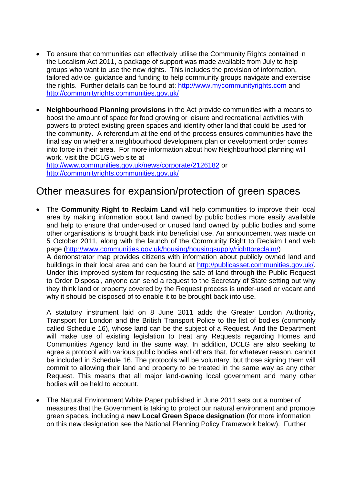- To ensure that communities can effectively utilise the Community Rights contained in the Localism Act 2011, a package of support was made available from July to help groups who want to use the new rights. This includes the provision of information, tailored advice, guidance and funding to help community groups navigate and exercise the rights. Further details can be found at: [http://www.mycommunityrights.com](http://www.mycommunityrights.com/) and <http://communityrights.communities.gov.uk/>
- **Neighbourhood Planning provisions** in the Act provide communities with a means to boost the amount of space for food growing or leisure and recreational activities with powers to protect existing green spaces and identify other land that could be used for the community. A referendum at the end of the process ensures communities have the final say on whether a neighbourhood development plan or development order comes into force in their area. For more information about how Neighbourhood planning will work, visit the DCLG web site at

<http://www.communities.gov.uk/news/corporate/2126182>or <http://communityrights.communities.gov.uk/>

## Other measures for expansion/protection of green spaces

• The **Community Right to Reclaim Land** will help communities to improve their local area by making information about land owned by public bodies more easily available and help to ensure that under-used or unused land owned by public bodies and some other organisations is brought back into beneficial use. An announcement was made on 5 October 2011, along with the launch of the Community Right to Reclaim Land web page (<http://www.communities.gov.uk/housing/housingsupply/righttoreclaim/>) A demonstrator map provides citizens with information about publicly owned land and buildings in their local area and can be found at [http://publicasset.communities.gov.uk/.](http://publicasset.communities.gov.uk/) Under this improved system for requesting the sale of land through the Public Request to Order Disposal, anyone can send a request to the Secretary of State setting out why they think land or property covered by the Request process is under-used or vacant and why it should be disposed of to enable it to be brought back into use.

A statutory instrument laid on 8 June 2011 adds the Greater London Authority, Transport for London and the British Transport Police to the list of bodies (commonly called Schedule 16), whose land can be the subject of a Request. And the Department will make use of existing legislation to treat any Requests regarding Homes and Communities Agency land in the same way. In addition, DCLG are also seeking to agree a protocol with various public bodies and others that, for whatever reason, cannot be included in Schedule 16. The protocols will be voluntary, but those signing them will commit to allowing their land and property to be treated in the same way as any other Request. This means that all major land-owning local government and many other bodies will be held to account.

• The Natural Environment White Paper published in June 2011 sets out a number of measures that the Government is taking to protect our natural environment and promote green spaces, including a **new Local Green Space designation** (for more information on this new designation see the National Planning Policy Framework below). Further